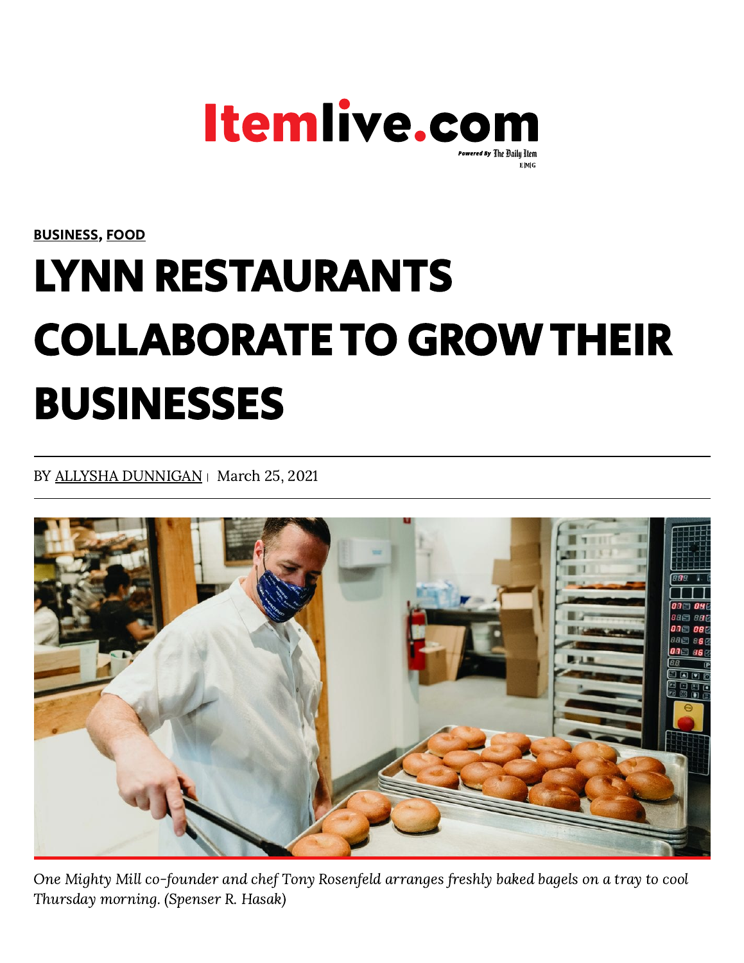

[BUSINESS](https://www.itemlive.com/category/business), [FOOD](https://www.itemlive.com/category/food)

## LYNN RESTAURANTS COLLABORATE TO GROWTHEIR BUSINESSES

BY ALLYSHA [DUNNIGAN](https://www.itemlive.com/author/adunnigan/) | March 25, 2021



One Mighty Mill co-founder and chef Tony Rosenfeld arranges freshly baked bagels on a tray to cool Thursday morning. (Spenser R. Hasak)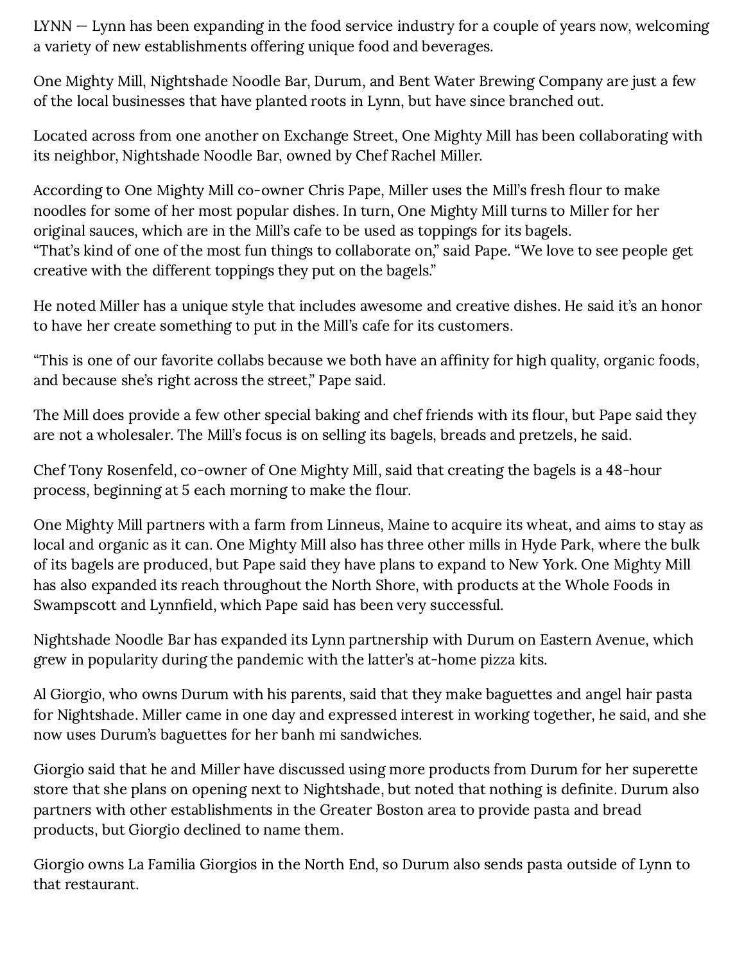LYNN — Lynn has been expanding in the food service industry for a couple of years now, welcoming a variety of new establishments offering unique food and beverages.

One Mighty Mill, Nightshade Noodle Bar, Durum, and Bent Water Brewing Company are just a few of the local businesses that have planted roots in Lynn, but have since branched out.

Located across from one another on Exchange Street, One Mighty Mill has been collaborating with its neighbor, Nightshade Noodle Bar, owned by Chef Rachel Miller.

According to One Mighty Mill co-owner Chris Pape, Miller uses the Mill's fresh flour to make noodles for some of her most popular dishes. In turn, One Mighty Mill turns to Miller for her original sauces, which are in the Mill's cafe to be used as toppings for its bagels. "That's kind of one of the most fun things to collaborate on," said Pape. "We love to see people get creative with the different toppings they put on the bagels."

He noted Miller has a unique style that includes awesome and creative dishes. He said it's an honor to have her create something to put in the Mill's cafe for its customers.

"This is one of our favorite collabs because we both have an affinity for high quality, organic foods, and because she's right across the street," Pape said.

The Mill does provide a few other special baking and chef friends with its flour, but Pape said they are not a wholesaler. The Mill's focus is on selling its bagels, breads and pretzels, he said.

Chef Tony Rosenfeld, co-owner of One Mighty Mill, said that creating the bagels is a 48-hour process, beginning at 5 each morning to make the flour.

One Mighty Mill partners with a farm from Linneus, Maine to acquire its wheat, and aims to stay as local and organic as it can. One Mighty Mill also has three other mills in Hyde Park, where the bulk of its bagels are produced, but Pape said they have plans to expand to New York. One Mighty Mill has also expanded its reach throughout the North Shore, with products at the Whole Foods in Swampscott and Lynnfield, which Pape said has been very successful.

Nightshade Noodle Bar has expanded its Lynn partnership with Durum on Eastern Avenue, which grew in popularity during the pandemic with the latter's at-home pizza kits.

Al Giorgio, who owns Durum with his parents, said that they make baguettes and angel hair pasta for Nightshade. Miller came in one day and expressed interest in working together, he said, and she now uses Durum's baguettes for her banh mi sandwiches.

Giorgio said that he and Miller have discussed using more products from Durum for her superette store that she plans on opening next to Nightshade, but noted that nothing is definite. Durum also partners with other establishments in the Greater Boston area to provide pasta and bread products, but Giorgio declined to name them.

Giorgio owns La Familia Giorgios in the North End, so Durum also sends pasta outside of Lynn to that restaurant.